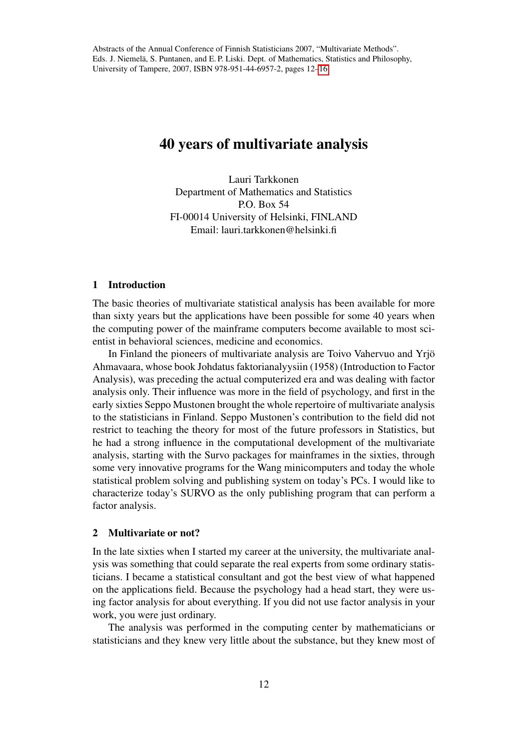# 40 years of multivariate analysis

Lauri Tarkkonen Department of Mathematics and Statistics P.O. Box 54 FI-00014 University of Helsinki, FINLAND Email: lauri.tarkkonen@helsinki.fi

## 1 Introduction

The basic theories of multivariate statistical analysis has been available for more than sixty years but the applications have been possible for some 40 years when the computing power of the mainframe computers become available to most scientist in behavioral sciences, medicine and economics.

In Finland the pioneers of multivariate analysis are Toivo Vahervuo and Yrjö Ahmavaara, whose book Johdatus faktorianalyysiin (1958) (Introduction to Factor Analysis), was preceding the actual computerized era and was dealing with factor analysis only. Their influence was more in the field of psychology, and first in the early sixties Seppo Mustonen brought the whole repertoire of multivariate analysis to the statisticians in Finland. Seppo Mustonen's contribution to the field did not restrict to teaching the theory for most of the future professors in Statistics, but he had a strong influence in the computational development of the multivariate analysis, starting with the Survo packages for mainframes in the sixties, through some very innovative programs for the Wang minicomputers and today the whole statistical problem solving and publishing system on today's PCs. I would like to characterize today's SURVO as the only publishing program that can perform a factor analysis.

### 2 Multivariate or not?

In the late sixties when I started my career at the university, the multivariate analysis was something that could separate the real experts from some ordinary statisticians. I became a statistical consultant and got the best view of what happened on the applications field. Because the psychology had a head start, they were using factor analysis for about everything. If you did not use factor analysis in your work, you were just ordinary.

The analysis was performed in the computing center by mathematicians or statisticians and they knew very little about the substance, but they knew most of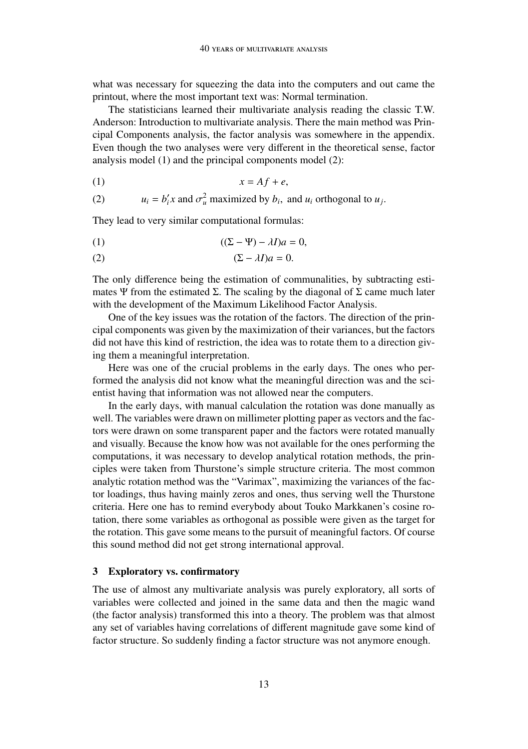what was necessary for squeezing the data into the computers and out came the printout, where the most important text was: Normal termination.

The statisticians learned their multivariate analysis reading the classic T.W. Anderson: Introduction to multivariate analysis. There the main method was Principal Components analysis, the factor analysis was somewhere in the appendix. Even though the two analyses were very different in the theoretical sense, factor analysis model (1) and the principal components model (2):

$$
(1) \t\t x = Af + e,
$$

(2) 
$$
u_i = b'_i x
$$
 and  $\sigma_u^2$  maximized by  $b_i$ , and  $u_i$  orthogonal to  $u_j$ .

They lead to very similar computational formulas:

(1) 
$$
((\Sigma - \Psi) - \lambda I)a = 0,
$$

$$
(2) \qquad (\Sigma - \lambda I)a = 0.
$$

The only difference being the estimation of communalities, by subtracting estimates Ψ from the estimated Σ. The scaling by the diagonal of Σ came much later with the development of the Maximum Likelihood Factor Analysis.

One of the key issues was the rotation of the factors. The direction of the principal components was given by the maximization of their variances, but the factors did not have this kind of restriction, the idea was to rotate them to a direction giving them a meaningful interpretation.

Here was one of the crucial problems in the early days. The ones who performed the analysis did not know what the meaningful direction was and the scientist having that information was not allowed near the computers.

In the early days, with manual calculation the rotation was done manually as well. The variables were drawn on millimeter plotting paper as vectors and the factors were drawn on some transparent paper and the factors were rotated manually and visually. Because the know how was not available for the ones performing the computations, it was necessary to develop analytical rotation methods, the principles were taken from Thurstone's simple structure criteria. The most common analytic rotation method was the "Varimax", maximizing the variances of the factor loadings, thus having mainly zeros and ones, thus serving well the Thurstone criteria. Here one has to remind everybody about Touko Markkanen's cosine rotation, there some variables as orthogonal as possible were given as the target for the rotation. This gave some means to the pursuit of meaningful factors. Of course this sound method did not get strong international approval.

## 3 Exploratory vs. confirmatory

The use of almost any multivariate analysis was purely exploratory, all sorts of variables were collected and joined in the same data and then the magic wand (the factor analysis) transformed this into a theory. The problem was that almost any set of variables having correlations of different magnitude gave some kind of factor structure. So suddenly finding a factor structure was not anymore enough.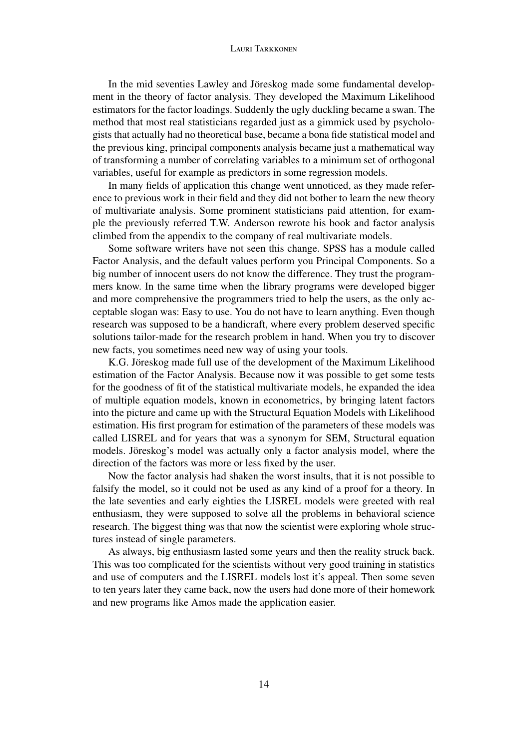#### LAUDI TAREFONEM

In the mid seventies Lawley and Jöreskog made some fundamental development in the theory of factor analysis. They developed the Maximum Likelihood estimators for the factor loadings. Suddenly the ugly duckling became a swan. The method that most real statisticians regarded just as a gimmick used by psychologists that actually had no theoretical base, became a bona fide statistical model and the previous king, principal components analysis became just a mathematical way of transforming a number of correlating variables to a minimum set of orthogonal variables, useful for example as predictors in some regression models.

In many fields of application this change went unnoticed, as they made reference to previous work in their field and they did not bother to learn the new theory of multivariate analysis. Some prominent statisticians paid attention, for example the previously referred T.W. Anderson rewrote his book and factor analysis climbed from the appendix to the company of real multivariate models.

Some software writers have not seen this change. SPSS has a module called Factor Analysis, and the default values perform you Principal Components. So a big number of innocent users do not know the difference. They trust the programmers know. In the same time when the library programs were developed bigger and more comprehensive the programmers tried to help the users, as the only acceptable slogan was: Easy to use. You do not have to learn anything. Even though research was supposed to be a handicraft, where every problem deserved specific solutions tailor-made for the research problem in hand. When you try to discover new facts, you sometimes need new way of using your tools.

K.G. Jöreskog made full use of the development of the Maximum Likelihood estimation of the Factor Analysis. Because now it was possible to get some tests for the goodness of fit of the statistical multivariate models, he expanded the idea of multiple equation models, known in econometrics, by bringing latent factors into the picture and came up with the Structural Equation Models with Likelihood estimation. His first program for estimation of the parameters of these models was called LISREL and for years that was a synonym for SEM, Structural equation models. Jöreskog's model was actually only a factor analysis model, where the direction of the factors was more or less fixed by the user.

Now the factor analysis had shaken the worst insults, that it is not possible to falsify the model, so it could not be used as any kind of a proof for a theory. In the late seventies and early eighties the LISREL models were greeted with real enthusiasm, they were supposed to solve all the problems in behavioral science research. The biggest thing was that now the scientist were exploring whole structures instead of single parameters.

As always, big enthusiasm lasted some years and then the reality struck back. This was too complicated for the scientists without very good training in statistics and use of computers and the LISREL models lost it's appeal. Then some seven to ten years later they came back, now the users had done more of their homework and new programs like Amos made the application easier.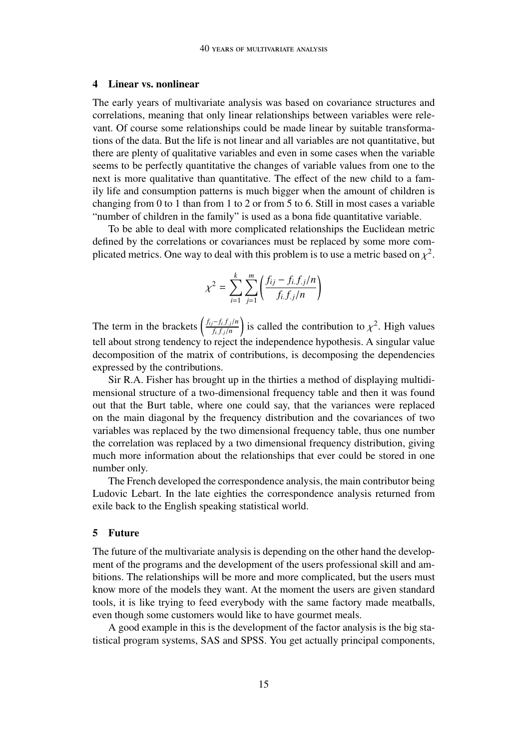#### 4 Linear vs. nonlinear

The early years of multivariate analysis was based on covariance structures and correlations, meaning that only linear relationships between variables were relevant. Of course some relationships could be made linear by suitable transformations of the data. But the life is not linear and all variables are not quantitative, but there are plenty of qualitative variables and even in some cases when the variable seems to be perfectly quantitative the changes of variable values from one to the next is more qualitative than quantitative. The effect of the new child to a family life and consumption patterns is much bigger when the amount of children is changing from 0 to 1 than from 1 to 2 or from 5 to 6. Still in most cases a variable "number of children in the family" is used as a bona fide quantitative variable.

To be able to deal with more complicated relationships the Euclidean metric defined by the correlations or covariances must be replaced by some more complicated metrics. One way to deal with this problem is to use a metric based on  $\chi^2$ .

$$
\chi^{2} = \sum_{i=1}^{k} \sum_{j=1}^{m} \left( \frac{f_{ij} - f_{i.}f_{.j}/n}{f_{i.}f_{.j}/n} \right)
$$

The term in the brackets  $\left(\frac{f_{ij}-f_i,f_j/n}{f_i.f_j/n}\right)$ ) is called the contribution to  $\chi^2$ . High values tell about strong tendency to reject the independence hypothesis. A singular value decomposition of the matrix of contributions, is decomposing the dependencies expressed by the contributions.

Sir R.A. Fisher has brought up in the thirties a method of displaying multidimensional structure of a two-dimensional frequency table and then it was found out that the Burt table, where one could say, that the variances were replaced on the main diagonal by the frequency distribution and the covariances of two variables was replaced by the two dimensional frequency table, thus one number the correlation was replaced by a two dimensional frequency distribution, giving much more information about the relationships that ever could be stored in one number only.

The French developed the correspondence analysis, the main contributor being Ludovic Lebart. In the late eighties the correspondence analysis returned from exile back to the English speaking statistical world.

## 5 Future

The future of the multivariate analysis is depending on the other hand the development of the programs and the development of the users professional skill and ambitions. The relationships will be more and more complicated, but the users must know more of the models they want. At the moment the users are given standard tools, it is like trying to feed everybody with the same factory made meatballs, even though some customers would like to have gourmet meals.

A good example in this is the development of the factor analysis is the big statistical program systems, SAS and SPSS. You get actually principal components,